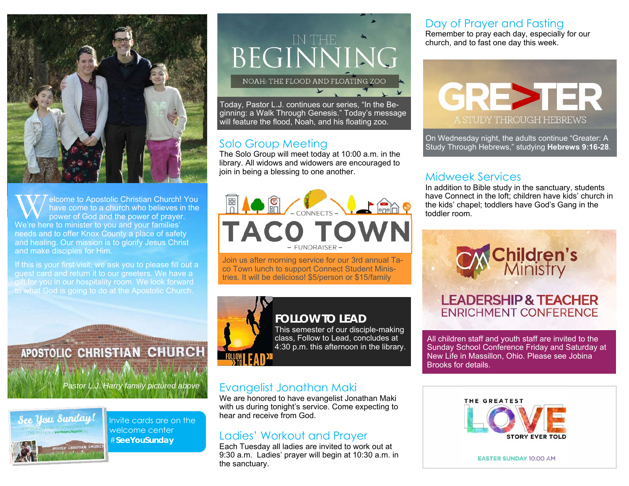

W elcome to Apostolic Christian Church! You have come to a church who believes in the power of God and the power of prayer. We're here to minister to you and your families' needs and to offer Knox County a place of safety and healing. Our mission is to glorify Jesus Christ and make disciples for Him.

If this is your first visit, we ask you to please fill out a guest card and return it to our greeters. We have a gift for you in our hospitality room. We look forward to what God is going to do at the Apostolic Church.

APOSTOLIC CHRISTIAN CHURCH *Pastor L.J. Harry family pictured above* 



Invite cards are on the welcome center #**SeeYouSunday** 



Today, Pastor L.J. continues our series, "In the Beginning: a Walk Through Genesis." Today's message will feature the flood, Noah, and his floating zoo.

#### Solo Group Meeting

The Solo Group will meet today at 10:00 a.m. in the library. All widows and widowers are encouraged to join in being a blessing to one another.



Join us after morning service for our 3rd annual Taco Town lunch to support Connect Student Ministries. It will be delicioso! \$5/person or \$15/family



#### **FOLLOW TO LEAD**

This semester of our disciple-making class, Follow to Lead, concludes at 4:30 p.m. this afternoon in the library.

#### Evangelist Jonathan Maki

We are honored to have evangelist Jonathan Maki with us during tonight's service. Come expecting to hear and receive from God.

#### Ladies' Workout and Prayer

Each Tuesday all ladies are invited to work out at 9:30 a.m. Ladies' prayer will begin at 10:30 a.m. in the sanctuary.

#### Day of Prayer and Fasting

Remember to pray each day, especially for our church, and to fast one day this week.



On Wednesday night, the adults continue "Greater: A Study Through Hebrews," studying **Hebrews 9:16-28**.

#### Midweek Services

In addition to Bible study in the sanctuary, students have Connect in the loft; children have kids' church in the kids' chapel; toddlers have God's Gang in the toddler room.



**ENRICHMENT CONFERENCE** 

All children staff and youth staff are invited to the Sunday School Conference Friday and Saturday at New Life in Massillon, Ohio. Please see Jobina Brooks for details.



**EASTER SUNDAY 10:00 AM**